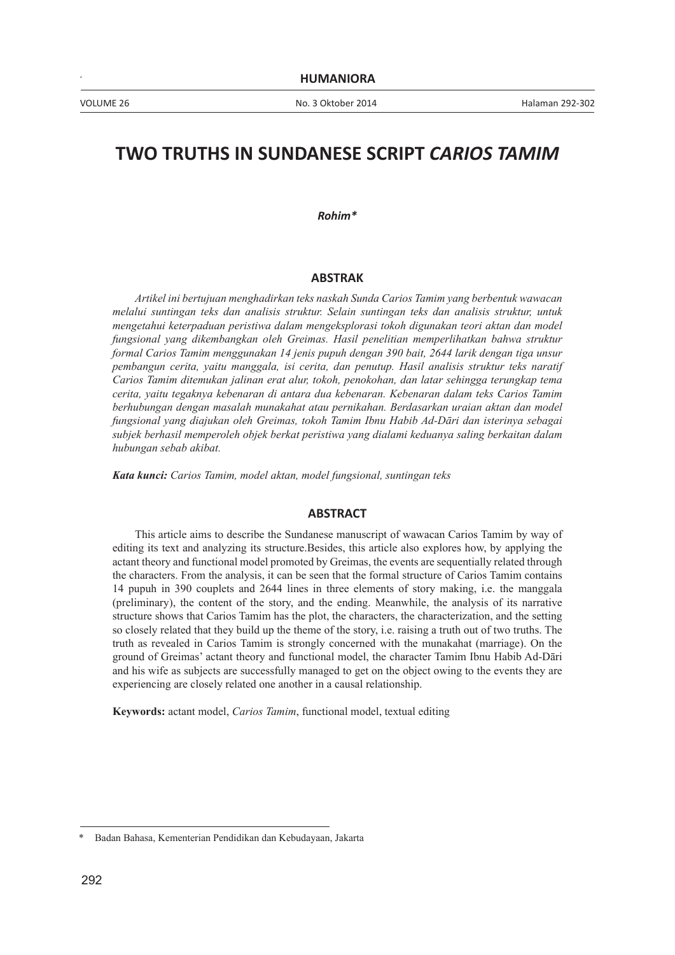# **TWO TRUTHS IN SUNDANESE SCRIPT** *CARIOS TAMIM*

*Rohim\**

#### **ABSTRAK**

*Artikel ini bertujuan menghadirkan teks naskah Sunda Carios Tamim yang berbentuk wawacan melalui suntingan teks dan analisis struktur. Selain suntingan teks dan analisis struktur, untuk mengetahui keterpaduan peristiwa dalam mengeksplorasi tokoh digunakan teori aktan dan model fungsional yang dikembangkan oleh Greimas. Hasil penelitian memperlihatkan bahwa struktur formal Carios Tamim menggunakan 14 jenis pupuh dengan 390 bait, 2644 larik dengan tiga unsur pembangun cerita, yaitu manggala, isi cerita, dan penutup. Hasil analisis struktur teks naratif Carios Tamim ditemukan jalinan erat alur, tokoh, penokohan, dan latar sehingga terungkap tema cerita, yaitu tegaknya kebenaran di antara dua kebenaran. Kebenaran dalam teks Carios Tamim berhubungan dengan masalah munakahat atau pernikahan. Berdasarkan uraian aktan dan model fungsional yang diajukan oleh Greimas, tokoh Tamim Ibnu Habib Ad-Dāri dan isterinya sebagai subjek berhasil memperoleh objek berkat peristiwa yang dialami keduanya saling berkaitan dalam hubungan sebab akibat.*

*Kata kunci: Carios Tamim, model aktan, model fungsional, suntingan teks*

#### **ABSTRACT**

This article aims to describe the Sundanese manuscript of wawacan Carios Tamim by way of editing its text and analyzing its structure.Besides, this article also explores how, by applying the actant theory and functional model promoted by Greimas, the events are sequentially related through the characters. From the analysis, it can be seen that the formal structure of Carios Tamim contains 14 pupuh in 390 couplets and 2644 lines in three elements of story making, i.e. the manggala (preliminary), the content of the story, and the ending. Meanwhile, the analysis of its narrative structure shows that Carios Tamim has the plot, the characters, the characterization, and the setting so closely related that they build up the theme of the story, i.e. raising a truth out of two truths. The truth as revealed in Carios Tamim is strongly concerned with the munakahat (marriage). On the ground of Greimas' actant theory and functional model, the character Tamim Ibnu Habib Ad-Dāri and his wife as subjects are successfully managed to get on the object owing to the events they are experiencing are closely related one another in a causal relationship.

**Keywords:** actant model, *Carios Tamim*, functional model, textual editing

<sup>\*</sup> Badan Bahasa, Kementerian Pendidikan dan Kebudayaan, Jakarta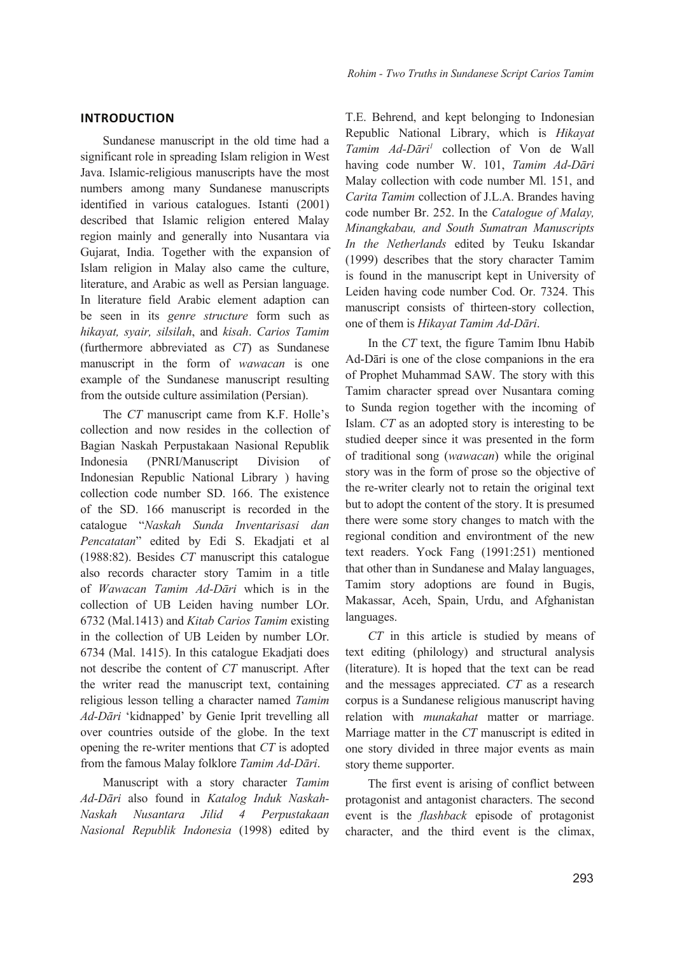# **INTRODUCTION**

Sundanese manuscript in the old time had a significant role in spreading Islam religion in West Java. Islamic-religious manuscripts have the most numbers among many Sundanese manuscripts identified in various catalogues. Istanti (2001) described that Islamic religion entered Malay region mainly and generally into Nusantara via Gujarat, India. Together with the expansion of Islam religion in Malay also came the culture, literature, and Arabic as well as Persian language. In literature field Arabic element adaption can be seen in its *genre structure* form such as *hikayat, syair, silsilah*, and *kisah*. *Carios Tamim* (furthermore abbreviated as *CT*) as Sundanese manuscript in the form of *wawacan* is one example of the Sundanese manuscript resulting from the outside culture assimilation (Persian).

The *CT* manuscript came from K.F. Holle's collection and now resides in the collection of Bagian Naskah Perpustakaan Nasional Republik Indonesia (PNRI/Manuscript Division of Indonesian Republic National Library ) having collection code number SD. 166. The existence of the SD. 166 manuscript is recorded in the catalogue "*Naskah Sunda Inventarisasi dan Pencatatan*" edited by Edi S. Ekadjati et al (1988:82). Besides *CT* manuscript this catalogue also records character story Tamim in a title of *Wawacan Tamim Ad-Dāri* which is in the collection of UB Leiden having number LOr. 6732 (Mal.1413) and *Kitab Carios Tamim* existing in the collection of UB Leiden by number LOr. 6734 (Mal. 1415). In this catalogue Ekadjati does not describe the content of *CT* manuscript. After the writer read the manuscript text, containing religious lesson telling a character named *Tamim Ad-Dāri* 'kidnapped' by Genie Iprit trevelling all over countries outside of the globe. In the text opening the re-writer mentions that *CT* is adopted from the famous Malay folklore *Tamim Ad-Dāri*.

Manuscript with a story character *Tamim Ad-Dāri* also found in *Katalog Induk Naskah-Naskah Nusantara Jilid 4 Perpustakaan Nasional Republik Indonesia* (1998) edited by T.E. Behrend, and kept belonging to Indonesian Republic National Library, which is *Hikayat Tamim Ad-Dāri<sup>1</sup>* collection of Von de Wall having code number W. 101, *Tamim Ad-Dāri* Malay collection with code number Ml. 151, and *Carita Tamim* collection of J.L.A. Brandes having code number Br. 252. In the *Catalogue of Malay, Minangkabau, and South Sumatran Manuscripts In the Netherlands* edited by Teuku Iskandar (1999) describes that the story character Tamim is found in the manuscript kept in University of Leiden having code number Cod. Or. 7324. This manuscript consists of thirteen-story collection, one of them is *Hikayat Tamim Ad-Dāri*.

In the *CT* text, the figure Tamim Ibnu Habib Ad-Dāri is one of the close companions in the era of Prophet Muhammad SAW. The story with this Tamim character spread over Nusantara coming to Sunda region together with the incoming of Islam. *CT* as an adopted story is interesting to be studied deeper since it was presented in the form of traditional song (*wawacan*) while the original story was in the form of prose so the objective of the re-writer clearly not to retain the original text but to adopt the content of the story. It is presumed there were some story changes to match with the regional condition and environtment of the new text readers. Yock Fang (1991:251) mentioned that other than in Sundanese and Malay languages, Tamim story adoptions are found in Bugis, Makassar, Aceh, Spain, Urdu, and Afghanistan languages.

*CT* in this article is studied by means of text editing (philology) and structural analysis (literature). It is hoped that the text can be read and the messages appreciated. *CT* as a research corpus is a Sundanese religious manuscript having relation with *munakahat* matter or marriage. Marriage matter in the *CT* manuscript is edited in one story divided in three major events as main story theme supporter.

The first event is arising of conflict between protagonist and antagonist characters. The second event is the *flashback* episode of protagonist character, and the third event is the climax,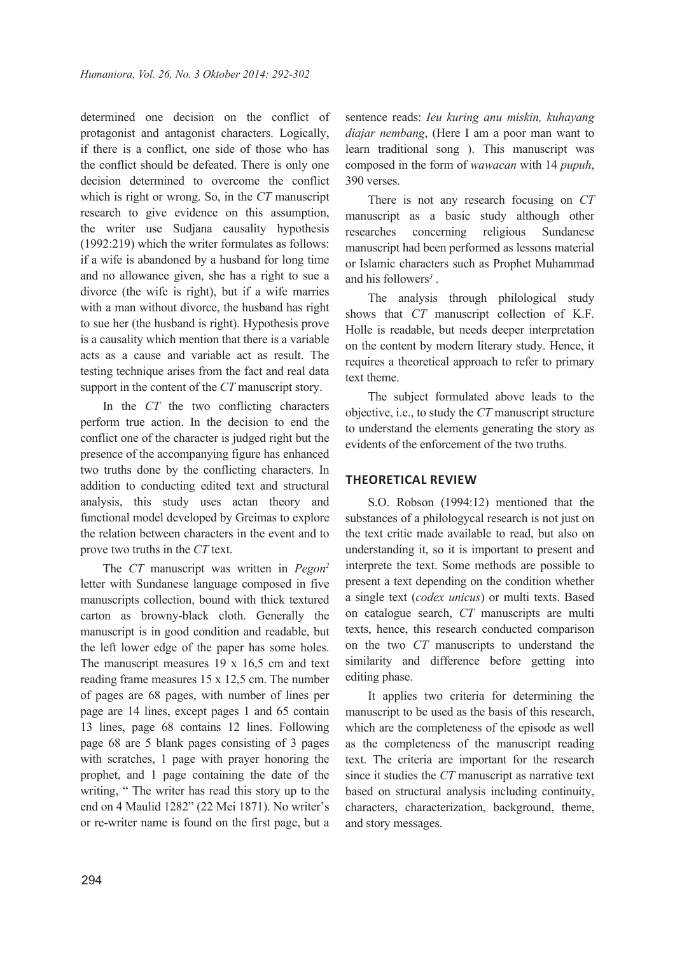determined one decision on the conflict of protagonist and antagonist characters. Logically, if there is a conflict, one side of those who has the conflict should be defeated. There is only one decision determined to overcome the conflict which is right or wrong. So, in the *CT* manuscript research to give evidence on this assumption, the writer use Sudjana causality hypothesis (1992:219) which the writer formulates as follows: if a wife is abandoned by a husband for long time and no allowance given, she has a right to sue a divorce (the wife is right), but if a wife marries with a man without divorce, the husband has right to sue her (the husband is right). Hypothesis prove is a causality which mention that there is a variable acts as a cause and variable act as result. The testing technique arises from the fact and real data support in the content of the *CT* manuscript story.

In the *CT* the two conflicting characters perform true action. In the decision to end the conflict one of the character is judged right but the presence of the accompanying figure has enhanced two truths done by the conflicting characters. In addition to conducting edited text and structural analysis, this study uses actan theory and functional model developed by Greimas to explore the relation between characters in the event and to prove two truths in the *CT* text.

The *CT* manuscript was written in *Pegon<sup>2</sup>* letter with Sundanese language composed in five manuscripts collection, bound with thick textured carton as browny-black cloth. Generally the manuscript is in good condition and readable, but the left lower edge of the paper has some holes. The manuscript measures 19 x 16,5 cm and text reading frame measures 15 x 12,5 cm. The number of pages are 68 pages, with number of lines per page are 14 lines, except pages 1 and 65 contain 13 lines, page 68 contains 12 lines. Following page 68 are 5 blank pages consisting of 3 pages with scratches, 1 page with prayer honoring the prophet, and 1 page containing the date of the writing, " The writer has read this story up to the end on 4 Maulid 1282" (22 Mei 1871). No writer's or re-writer name is found on the first page, but a sentence reads: *Ieu kuring anu miskin, kuhayang diajar nembang*, (Here I am a poor man want to learn traditional song ). This manuscript was composed in the form of *wawacan* with 14 *pupuh*, 390 verses.

There is not any research focusing on *CT* manuscript as a basic study although other researches concerning religious Sundanese manuscript had been performed as lessons material or Islamic characters such as Prophet Muhammad and his followers*<sup>3</sup>* .

The analysis through philological study shows that *CT* manuscript collection of K.F. Holle is readable, but needs deeper interpretation on the content by modern literary study. Hence, it requires a theoretical approach to refer to primary text theme.

The subject formulated above leads to the objective, i.e., to study the *CT* manuscript structure to understand the elements generating the story as evidents of the enforcement of the two truths.

# **THEORETICAl REvIEW**

S.O. Robson (1994:12) mentioned that the substances of a philologycal research is not just on the text critic made available to read, but also on understanding it, so it is important to present and interprete the text. Some methods are possible to present a text depending on the condition whether a single text (*codex unicus*) or multi texts. Based on catalogue search, *CT* manuscripts are multi texts, hence, this research conducted comparison on the two *CT* manuscripts to understand the similarity and difference before getting into editing phase.

It applies two criteria for determining the manuscript to be used as the basis of this research, which are the completeness of the episode as well as the completeness of the manuscript reading text. The criteria are important for the research since it studies the *CT* manuscript as narrative text based on structural analysis including continuity, characters, characterization, background, theme, and story messages.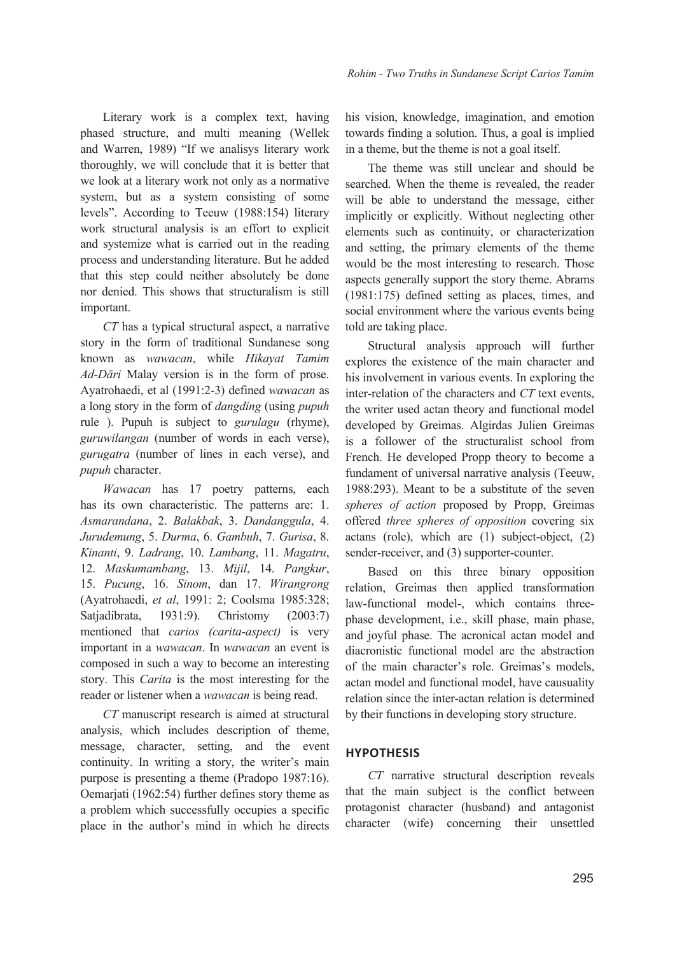Literary work is a complex text, having phased structure, and multi meaning (Wellek and Warren, 1989) "If we analisys literary work thoroughly, we will conclude that it is better that we look at a literary work not only as a normative system, but as a system consisting of some levels". According to Teeuw (1988:154) literary work structural analysis is an effort to explicit and systemize what is carried out in the reading process and understanding literature. But he added that this step could neither absolutely be done nor denied. This shows that structuralism is still important.

*CT* has a typical structural aspect, a narrative story in the form of traditional Sundanese song known as *wawacan*, while *Hikayat Tamim Ad-Dāri* Malay version is in the form of prose. Ayatrohaedi, et al (1991:2-3) defined *wawacan* as a long story in the form of *dangding* (using *pupuh* rule ). Pupuh is subject to *gurulagu* (rhyme), *guruwilangan* (number of words in each verse), *gurugatra* (number of lines in each verse), and *pupuh* character.

*Wawacan* has 17 poetry patterns, each has its own characteristic. The patterns are: 1. *Asmarandana*, 2. *Balakbak*, 3. *Dandanggula*, 4. *Jurudemung*, 5. *Durma*, 6. *Gambuh*, 7. *Gurisa*, 8. *Kinanti*, 9. *Ladrang*, 10. *Lambang*, 11. *Magatru*, 12. *Maskumambang*, 13. *Mijil*, 14. *Pangkur*, 15. *Pucung*, 16. *Sinom*, dan 17. *Wirangrong* (Ayatrohaedi, *et al*, 1991: 2; Coolsma 1985:328; Satjadibrata, 1931:9). Christomy (2003:7) mentioned that *carios (carita-aspect)* is very important in a *wawacan*. In *wawacan* an event is composed in such a way to become an interesting story. This *Carita* is the most interesting for the reader or listener when a *wawacan* is being read.

*CT* manuscript research is aimed at structural analysis, which includes description of theme, message, character, setting, and the event continuity. In writing a story, the writer's main purpose is presenting a theme (Pradopo 1987:16). Oemarjati (1962:54) further defines story theme as a problem which successfully occupies a specific place in the author's mind in which he directs his vision, knowledge, imagination, and emotion towards finding a solution. Thus, a goal is implied in a theme, but the theme is not a goal itself.

The theme was still unclear and should be searched. When the theme is revealed, the reader will be able to understand the message, either implicitly or explicitly. Without neglecting other elements such as continuity, or characterization and setting, the primary elements of the theme would be the most interesting to research. Those aspects generally support the story theme. Abrams (1981:175) defined setting as places, times, and social environment where the various events being told are taking place.

Structural analysis approach will further explores the existence of the main character and his involvement in various events. In exploring the inter-relation of the characters and *CT* text events, the writer used actan theory and functional model developed by Greimas. Algirdas Julien Greimas is a follower of the structuralist school from French. He developed Propp theory to become a fundament of universal narrative analysis (Teeuw, 1988:293). Meant to be a substitute of the seven *spheres of action* proposed by Propp, Greimas offered *three spheres of opposition* covering six actans (role), which are (1) subject-object, (2) sender-receiver, and (3) supporter-counter.

Based on this three binary opposition relation, Greimas then applied transformation law-functional model-, which contains threephase development, i.e., skill phase, main phase, and joyful phase. The acronical actan model and diacronistic functional model are the abstraction of the main character's role. Greimas's models, actan model and functional model, have causuality relation since the inter-actan relation is determined by their functions in developing story structure.

### **HyPOTHESIS**

*CT* narrative structural description reveals that the main subject is the conflict between protagonist character (husband) and antagonist character (wife) concerning their unsettled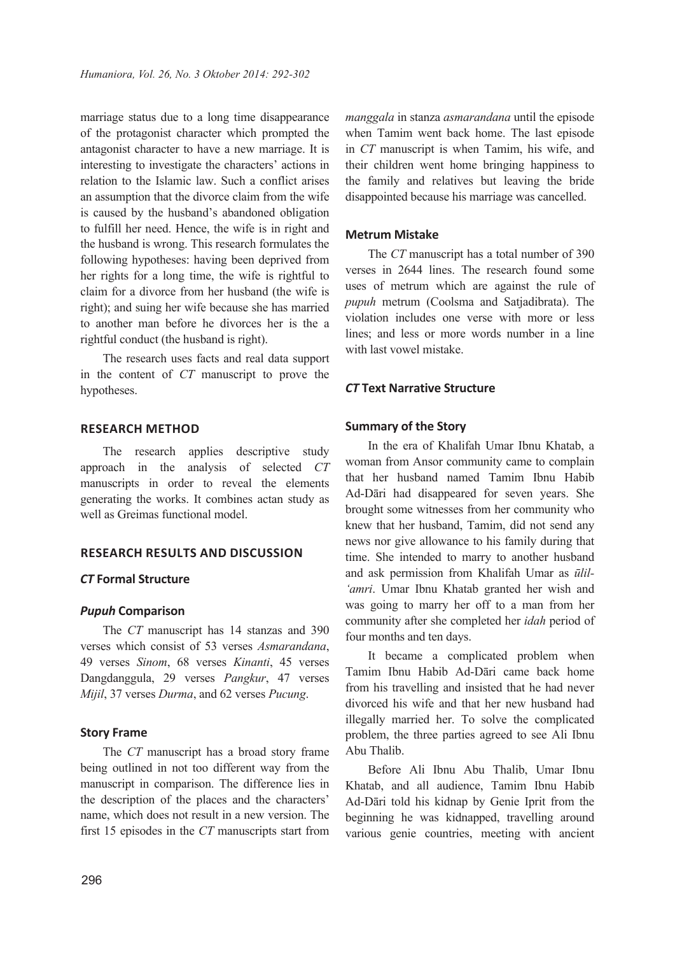marriage status due to a long time disappearance of the protagonist character which prompted the antagonist character to have a new marriage. It is interesting to investigate the characters' actions in relation to the Islamic law. Such a conflict arises an assumption that the divorce claim from the wife is caused by the husband's abandoned obligation to fulfill her need. Hence, the wife is in right and the husband is wrong. This research formulates the following hypotheses: having been deprived from her rights for a long time, the wife is rightful to claim for a divorce from her husband (the wife is right); and suing her wife because she has married to another man before he divorces her is the a rightful conduct (the husband is right).

The research uses facts and real data support in the content of *CT* manuscript to prove the hypotheses.

### **RESEARCH METHOD**

The research applies descriptive study approach in the analysis of selected *CT* manuscripts in order to reveal the elements generating the works. It combines actan study as well as Greimas functional model.

# **RESEARCH RESUlTS AND DISCUSSION**

### *CT* **Formal Structure**

### *Pupuh* **Comparison**

The *CT* manuscript has 14 stanzas and 390 verses which consist of 53 verses *Asmarandana*, 49 verses *Sinom*, 68 verses *Kinanti*, 45 verses Dangdanggula, 29 verses *Pangkur*, 47 verses *Mijil*, 37 verses *Durma*, and 62 verses *Pucung*.

#### **Story Frame**

The *CT* manuscript has a broad story frame being outlined in not too different way from the manuscript in comparison. The difference lies in the description of the places and the characters' name, which does not result in a new version. The first 15 episodes in the *CT* manuscripts start from *manggala* in stanza *asmarandana* until the episode when Tamim went back home. The last episode in *CT* manuscript is when Tamim, his wife, and their children went home bringing happiness to the family and relatives but leaving the bride disappointed because his marriage was cancelled.

#### **Metrum Mistake**

The *CT* manuscript has a total number of 390 verses in 2644 lines. The research found some uses of metrum which are against the rule of *pupuh* metrum (Coolsma and Satjadibrata). The violation includes one verse with more or less lines; and less or more words number in a line with last vowel mistake.

#### *CT* **Text Narrative Structure**

### **Summary of the Story**

In the era of Khalifah Umar Ibnu Khatab, a woman from Ansor community came to complain that her husband named Tamim Ibnu Habib Ad-Dāri had disappeared for seven years. She brought some witnesses from her community who knew that her husband, Tamim, did not send any news nor give allowance to his family during that time. She intended to marry to another husband and ask permission from Khalifah Umar as *ūlil- 'amri*. Umar Ibnu Khatab granted her wish and was going to marry her off to a man from her community after she completed her *idah* period of four months and ten days.

It became a complicated problem when Tamim Ibnu Habib Ad-Dāri came back home from his travelling and insisted that he had never divorced his wife and that her new husband had illegally married her. To solve the complicated problem, the three parties agreed to see Ali Ibnu Abu Thalib.

Before Ali Ibnu Abu Thalib, Umar Ibnu Khatab, and all audience, Tamim Ibnu Habib Ad-Dāri told his kidnap by Genie Iprit from the beginning he was kidnapped, travelling around various genie countries, meeting with ancient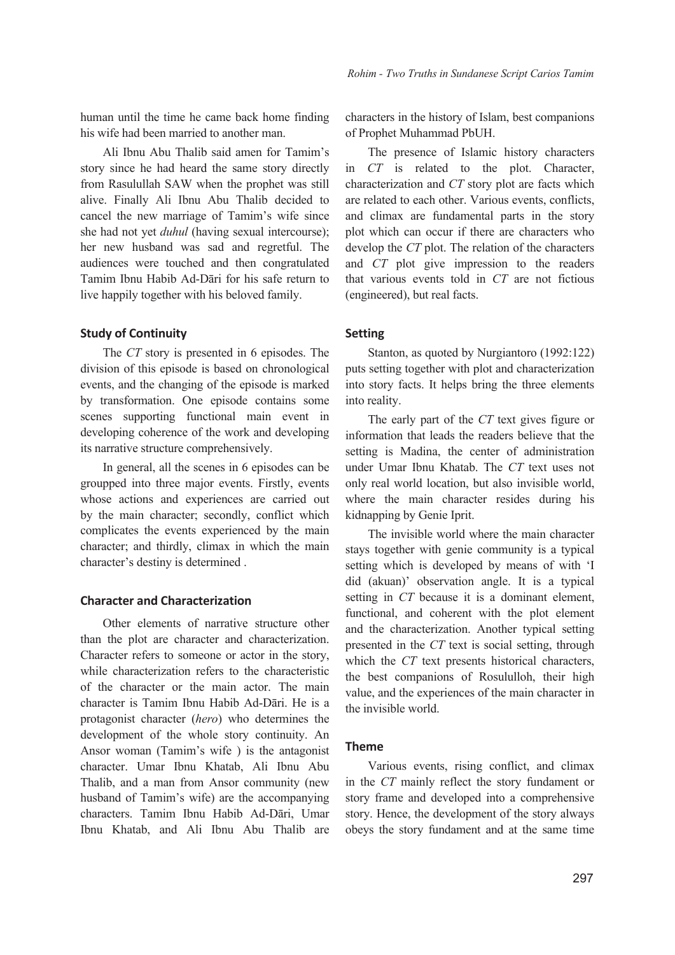human until the time he came back home finding his wife had been married to another man.

Ali Ibnu Abu Thalib said amen for Tamim's story since he had heard the same story directly from Rasulullah SAW when the prophet was still alive. Finally Ali Ibnu Abu Thalib decided to cancel the new marriage of Tamim's wife since she had not yet *duhul* (having sexual intercourse); her new husband was sad and regretful. The audiences were touched and then congratulated Tamim Ibnu Habib Ad-Dāri for his safe return to live happily together with his beloved family.

### **Study of Continuity**

The *CT* story is presented in 6 episodes. The division of this episode is based on chronological events, and the changing of the episode is marked by transformation. One episode contains some scenes supporting functional main event in developing coherence of the work and developing its narrative structure comprehensively.

In general, all the scenes in 6 episodes can be groupped into three major events. Firstly, events whose actions and experiences are carried out by the main character; secondly, conflict which complicates the events experienced by the main character; and thirdly, climax in which the main character's destiny is determined .

### **Character and Characterization**

Other elements of narrative structure other than the plot are character and characterization. Character refers to someone or actor in the story, while characterization refers to the characteristic of the character or the main actor. The main character is Tamim Ibnu Habib Ad-Dāri. He is a protagonist character (*hero*) who determines the development of the whole story continuity. An Ansor woman (Tamim's wife ) is the antagonist character. Umar Ibnu Khatab, Ali Ibnu Abu Thalib, and a man from Ansor community (new husband of Tamim's wife) are the accompanying characters. Tamim Ibnu Habib Ad-Dāri, Umar Ibnu Khatab, and Ali Ibnu Abu Thalib are characters in the history of Islam, best companions of Prophet Muhammad PbUH.

The presence of Islamic history characters in *CT* is related to the plot. Character, characterization and *CT* story plot are facts which are related to each other. Various events, conflicts, and climax are fundamental parts in the story plot which can occur if there are characters who develop the *CT* plot. The relation of the characters and *CT* plot give impression to the readers that various events told in *CT* are not fictious (engineered), but real facts.

#### **Setting**

Stanton, as quoted by Nurgiantoro (1992:122) puts setting together with plot and characterization into story facts. It helps bring the three elements into reality.

The early part of the *CT* text gives figure or information that leads the readers believe that the setting is Madina, the center of administration under Umar Ibnu Khatab. The *CT* text uses not only real world location, but also invisible world, where the main character resides during his kidnapping by Genie Iprit.

The invisible world where the main character stays together with genie community is a typical setting which is developed by means of with 'I did (akuan)' observation angle. It is a typical setting in *CT* because it is a dominant element, functional, and coherent with the plot element and the characterization. Another typical setting presented in the *CT* text is social setting, through which the *CT* text presents historical characters, the best companions of Rosululloh, their high value, and the experiences of the main character in the invisible world.

#### **Theme**

Various events, rising conflict, and climax in the *CT* mainly reflect the story fundament or story frame and developed into a comprehensive story. Hence, the development of the story always obeys the story fundament and at the same time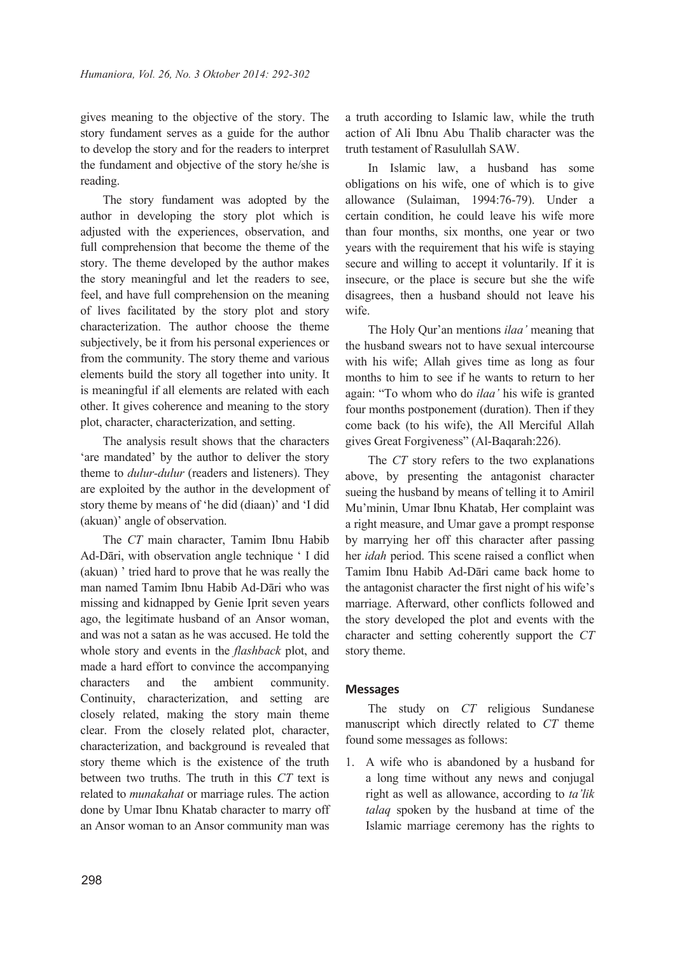gives meaning to the objective of the story. The story fundament serves as a guide for the author to develop the story and for the readers to interpret the fundament and objective of the story he/she is reading.

The story fundament was adopted by the author in developing the story plot which is adjusted with the experiences, observation, and full comprehension that become the theme of the story. The theme developed by the author makes the story meaningful and let the readers to see, feel, and have full comprehension on the meaning of lives facilitated by the story plot and story characterization. The author choose the theme subjectively, be it from his personal experiences or from the community. The story theme and various elements build the story all together into unity. It is meaningful if all elements are related with each other. It gives coherence and meaning to the story plot, character, characterization, and setting.

The analysis result shows that the characters 'are mandated' by the author to deliver the story theme to *dulur-dulur* (readers and listeners). They are exploited by the author in the development of story theme by means of 'he did (diaan)' and 'I did (akuan)' angle of observation.

The *CT* main character, Tamim Ibnu Habib Ad-Dāri, with observation angle technique ' I did (akuan) ' tried hard to prove that he was really the man named Tamim Ibnu Habib Ad-Dāri who was missing and kidnapped by Genie Iprit seven years ago, the legitimate husband of an Ansor woman, and was not a satan as he was accused. He told the whole story and events in the *flashback* plot, and made a hard effort to convince the accompanying characters and the ambient community. Continuity, characterization, and setting are closely related, making the story main theme clear. From the closely related plot, character, characterization, and background is revealed that story theme which is the existence of the truth between two truths. The truth in this *CT* text is related to *munakahat* or marriage rules. The action done by Umar Ibnu Khatab character to marry off an Ansor woman to an Ansor community man was

a truth according to Islamic law, while the truth action of Ali Ibnu Abu Thalib character was the truth testament of Rasulullah SAW.

In Islamic law, a husband has some obligations on his wife, one of which is to give allowance (Sulaiman, 1994:76-79). Under a certain condition, he could leave his wife more than four months, six months, one year or two years with the requirement that his wife is staying secure and willing to accept it voluntarily. If it is insecure, or the place is secure but she the wife disagrees, then a husband should not leave his wife.

The Holy Qur'an mentions *ilaa'* meaning that the husband swears not to have sexual intercourse with his wife; Allah gives time as long as four months to him to see if he wants to return to her again: "To whom who do *ilaa'* his wife is granted four months postponement (duration). Then if they come back (to his wife), the All Merciful Allah gives Great Forgiveness" (Al-Baqarah:226).

The *CT* story refers to the two explanations above, by presenting the antagonist character sueing the husband by means of telling it to Amiril Mu'minin, Umar Ibnu Khatab, Her complaint was a right measure, and Umar gave a prompt response by marrying her off this character after passing her *idah* period. This scene raised a conflict when Tamim Ibnu Habib Ad-Dāri came back home to the antagonist character the first night of his wife's marriage. Afterward, other conflicts followed and the story developed the plot and events with the character and setting coherently support the *CT* story theme.

### **Messages**

The study on *CT* religious Sundanese manuscript which directly related to *CT* theme found some messages as follows:

1. A wife who is abandoned by a husband for a long time without any news and conjugal right as well as allowance, according to *ta'lik talaq* spoken by the husband at time of the Islamic marriage ceremony has the rights to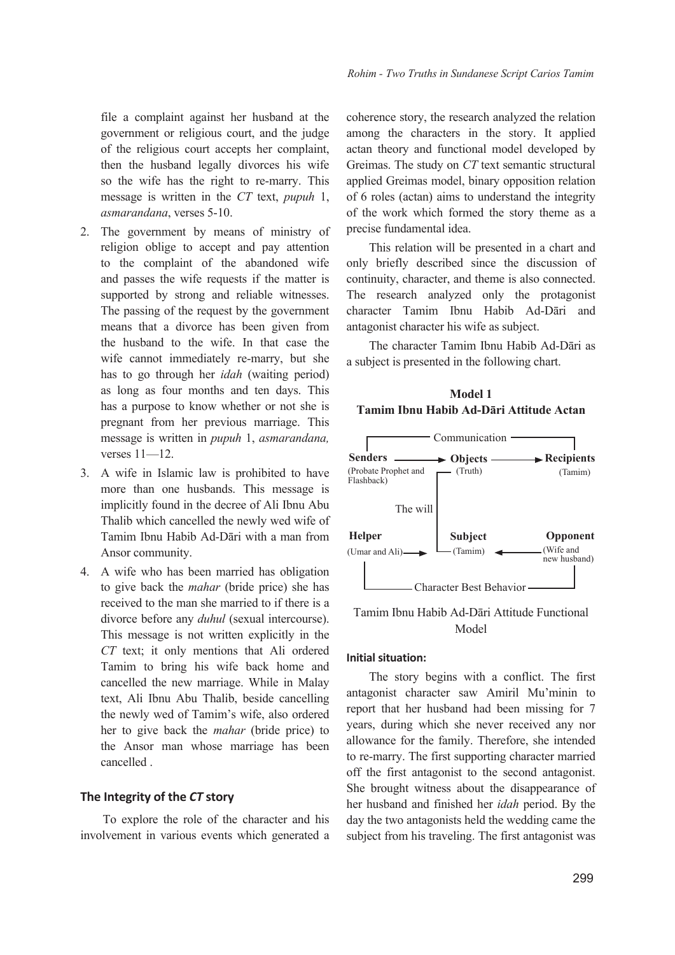file a complaint against her husband at the government or religious court, and the judge of the religious court accepts her complaint, then the husband legally divorces his wife so the wife has the right to re-marry. This message is written in the *CT* text, *pupuh* 1, *asmarandana*, verses 5-10.

- 2. The government by means of ministry of religion oblige to accept and pay attention to the complaint of the abandoned wife and passes the wife requests if the matter is supported by strong and reliable witnesses. The passing of the request by the government means that a divorce has been given from the husband to the wife. In that case the wife cannot immediately re-marry, but she has to go through her *idah* (waiting period) as long as four months and ten days. This has a purpose to know whether or not she is pregnant from her previous marriage. This message is written in *pupuh* 1, *asmarandana,* verses 11—12.
- 3. A wife in Islamic law is prohibited to have more than one husbands. This message is implicitly found in the decree of Ali Ibnu Abu Thalib which cancelled the newly wed wife of Tamim Ibnu Habib Ad-Dāri with a man from Ansor community.
- 4. A wife who has been married has obligation to give back the *mahar* (bride price) she has received to the man she married to if there is a divorce before any *duhul* (sexual intercourse). This message is not written explicitly in the *CT* text; it only mentions that Ali ordered Tamim to bring his wife back home and cancelled the new marriage. While in Malay text, Ali Ibnu Abu Thalib, beside cancelling the newly wed of Tamim's wife, also ordered her to give back the *mahar* (bride price) to the Ansor man whose marriage has been cancelled .

### **The Integrity of the** *CT* **story**

To explore the role of the character and his involvement in various events which generated a coherence story, the research analyzed the relation among the characters in the story. It applied actan theory and functional model developed by Greimas. The study on *CT* text semantic structural applied Greimas model, binary opposition relation of 6 roles (actan) aims to understand the integrity of the work which formed the story theme as a precise fundamental idea.

This relation will be presented in a chart and only briefly described since the discussion of continuity, character, and theme is also connected. The research analyzed only the protagonist character Tamim Ibnu Habib Ad-Dāri and antagonist character his wife as subject.

The character Tamim Ibnu Habib Ad-Dāri as a subject is presented in the following chart.





Tamim Ibnu Habib Ad-Dāri Attitude Functional Model

#### **Initial situation:**

The story begins with a conflict. The first antagonist character saw Amiril Mu'minin to report that her husband had been missing for 7 years, during which she never received any nor allowance for the family. Therefore, she intended to re-marry. The first supporting character married off the first antagonist to the second antagonist. She brought witness about the disappearance of her husband and finished her *idah* period. By the day the two antagonists held the wedding came the subject from his traveling. The first antagonist was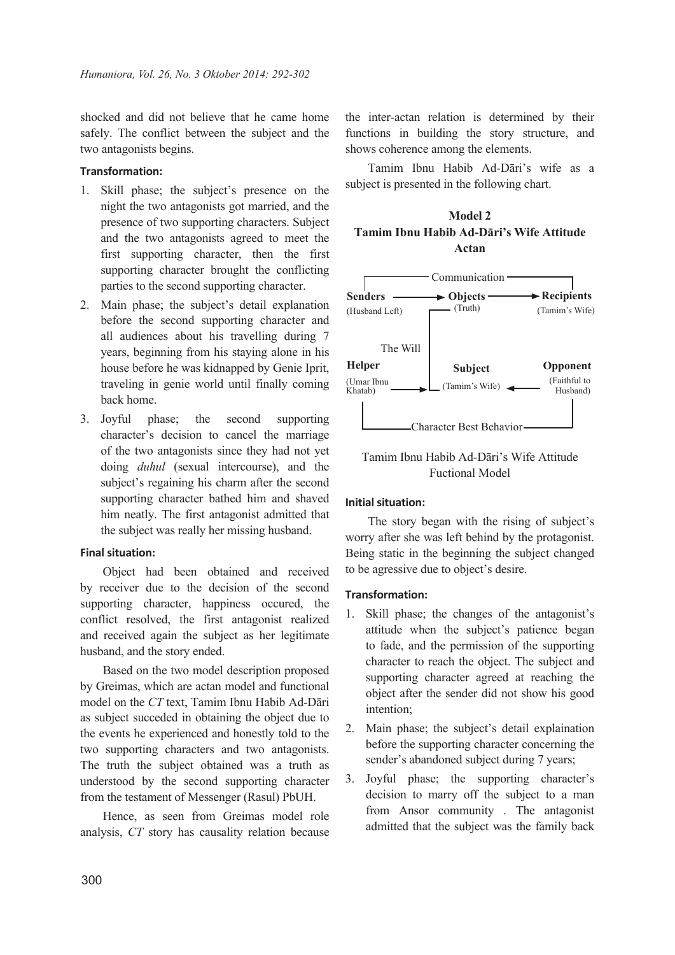shocked and did not believe that he came home safely. The conflict between the subject and the two antagonists begins.

### **Transformation:**

- 1. Skill phase; the subject's presence on the night the two antagonists got married, and the presence of two supporting characters. Subject and the two antagonists agreed to meet the first supporting character, then the first supporting character brought the conflicting parties to the second supporting character.
- 2. Main phase; the subject's detail explanation before the second supporting character and all audiences about his travelling during 7 years, beginning from his staying alone in his house before he was kidnapped by Genie Iprit, traveling in genie world until finally coming back home.
- 3. Joyful phase; the second supporting character's decision to cancel the marriage of the two antagonists since they had not yet doing *duhul* (sexual intercourse), and the subject's regaining his charm after the second supporting character bathed him and shaved him neatly. The first antagonist admitted that the subject was really her missing husband.

### **Final situation:**

Object had been obtained and received by receiver due to the decision of the second supporting character, happiness occured, the conflict resolved, the first antagonist realized and received again the subject as her legitimate husband, and the story ended.

Based on the two model description proposed by Greimas, which are actan model and functional model on the *CT* text, Tamim Ibnu Habib Ad-Dāri as subject succeded in obtaining the object due to the events he experienced and honestly told to the two supporting characters and two antagonists. The truth the subject obtained was a truth as understood by the second supporting character from the testament of Messenger (Rasul) PbUH.

Hence, as seen from Greimas model role analysis, *CT* story has causality relation because

the inter-actan relation is determined by their functions in building the story structure, and shows coherence among the elements.

Tamim Ibnu Habib Ad-Dāri's wife as a subject is presented in the following chart.

# **Model 2 Tamim Ibnu Habib Ad-Dāri's Wife Attitude Actan**



# Tamim Ibnu Habib Ad-Dāri's Wife Attitude Fuctional Model

### **Initial situation:**

The story began with the rising of subject's worry after she was left behind by the protagonist. Being static in the beginning the subject changed to be agressive due to object's desire.

### **Transformation:**

- 1. Skill phase; the changes of the antagonist's attitude when the subject's patience began to fade, and the permission of the supporting character to reach the object. The subject and supporting character agreed at reaching the object after the sender did not show his good intention;
- 2. Main phase; the subject's detail explaination before the supporting character concerning the sender's abandoned subject during 7 years;
- 3. Joyful phase; the supporting character's decision to marry off the subject to a man from Ansor community . The antagonist admitted that the subject was the family back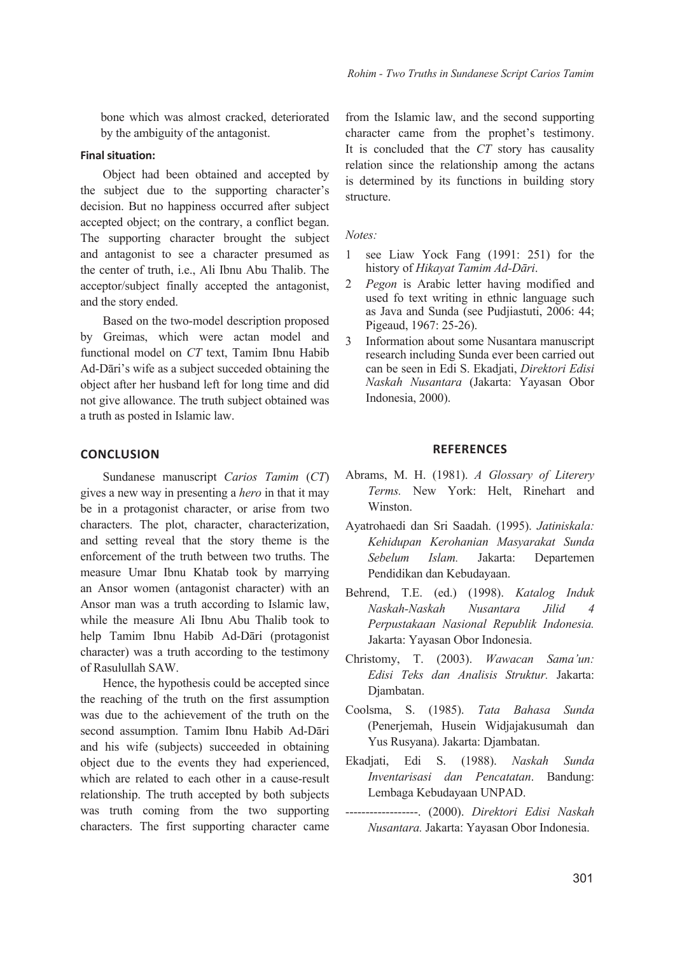bone which was almost cracked, deteriorated by the ambiguity of the antagonist.

### **Final situation:**

Object had been obtained and accepted by the subject due to the supporting character's decision. But no happiness occurred after subject accepted object; on the contrary, a conflict began. The supporting character brought the subject and antagonist to see a character presumed as the center of truth, i.e., Ali Ibnu Abu Thalib. The acceptor/subject finally accepted the antagonist, and the story ended.

Based on the two-model description proposed by Greimas, which were actan model and functional model on *CT* text, Tamim Ibnu Habib Ad-Dāri's wife as a subject succeded obtaining the object after her husband left for long time and did not give allowance. The truth subject obtained was a truth as posted in Islamic law.

### **CONClUSION**

Sundanese manuscript *Carios Tamim* (*CT*) gives a new way in presenting a *hero* in that it may be in a protagonist character, or arise from two characters. The plot, character, characterization, and setting reveal that the story theme is the enforcement of the truth between two truths. The measure Umar Ibnu Khatab took by marrying an Ansor women (antagonist character) with an Ansor man was a truth according to Islamic law, while the measure Ali Ibnu Abu Thalib took to help Tamim Ibnu Habib Ad-Dāri (protagonist character) was a truth according to the testimony of Rasulullah SAW.

Hence, the hypothesis could be accepted since the reaching of the truth on the first assumption was due to the achievement of the truth on the second assumption. Tamim Ibnu Habib Ad-Dāri and his wife (subjects) succeeded in obtaining object due to the events they had experienced, which are related to each other in a cause-result relationship. The truth accepted by both subjects was truth coming from the two supporting characters. The first supporting character came

from the Islamic law, and the second supporting character came from the prophet's testimony. It is concluded that the *CT* story has causality relation since the relationship among the actans is determined by its functions in building story structure.

#### *Notes:*

- 1 see Liaw Yock Fang (1991: 251) for the history of *Hikayat Tamim Ad-Dāri*.
- 2 *Pegon* is Arabic letter having modified and used fo text writing in ethnic language such as Java and Sunda (see Pudjiastuti, 2006: 44; Pigeaud, 1967: 25-26).
- 3 Information about some Nusantara manuscript research including Sunda ever been carried out can be seen in Edi S. Ekadjati, *Direktori Edisi Naskah Nusantara* (Jakarta: Yayasan Obor Indonesia, 2000).

#### **REFERENCES**

- Abrams, M. H. (1981). *A Glossary of Literery Terms.* New York: Helt, Rinehart and Winston.
- Ayatrohaedi dan Sri Saadah. (1995). *Jatiniskala: Kehidupan Kerohanian Masyarakat Sunda Sebelum Islam.* Jakarta: Departemen Pendidikan dan Kebudayaan.
- Behrend, T.E. (ed.) (1998). *Katalog Induk Naskah-Naskah Nusantara Jilid 4 Perpustakaan Nasional Republik Indonesia.* Jakarta: Yayasan Obor Indonesia.
- Christomy, T. (2003). *Wawacan Sama'un: Edisi Teks dan Analisis Struktur.* Jakarta: Djambatan.
- Coolsma, S. (1985). *Tata Bahasa Sunda*  (Penerjemah, Husein Widjajakusumah dan Yus Rusyana). Jakarta: Djambatan.
- Ekadjati, Edi S. (1988). *Naskah Sunda Inventarisasi dan Pencatatan*. Bandung: Lembaga Kebudayaan UNPAD.
- ------------------. (2000). *Direktori Edisi Naskah Nusantara.* Jakarta: Yayasan Obor Indonesia.